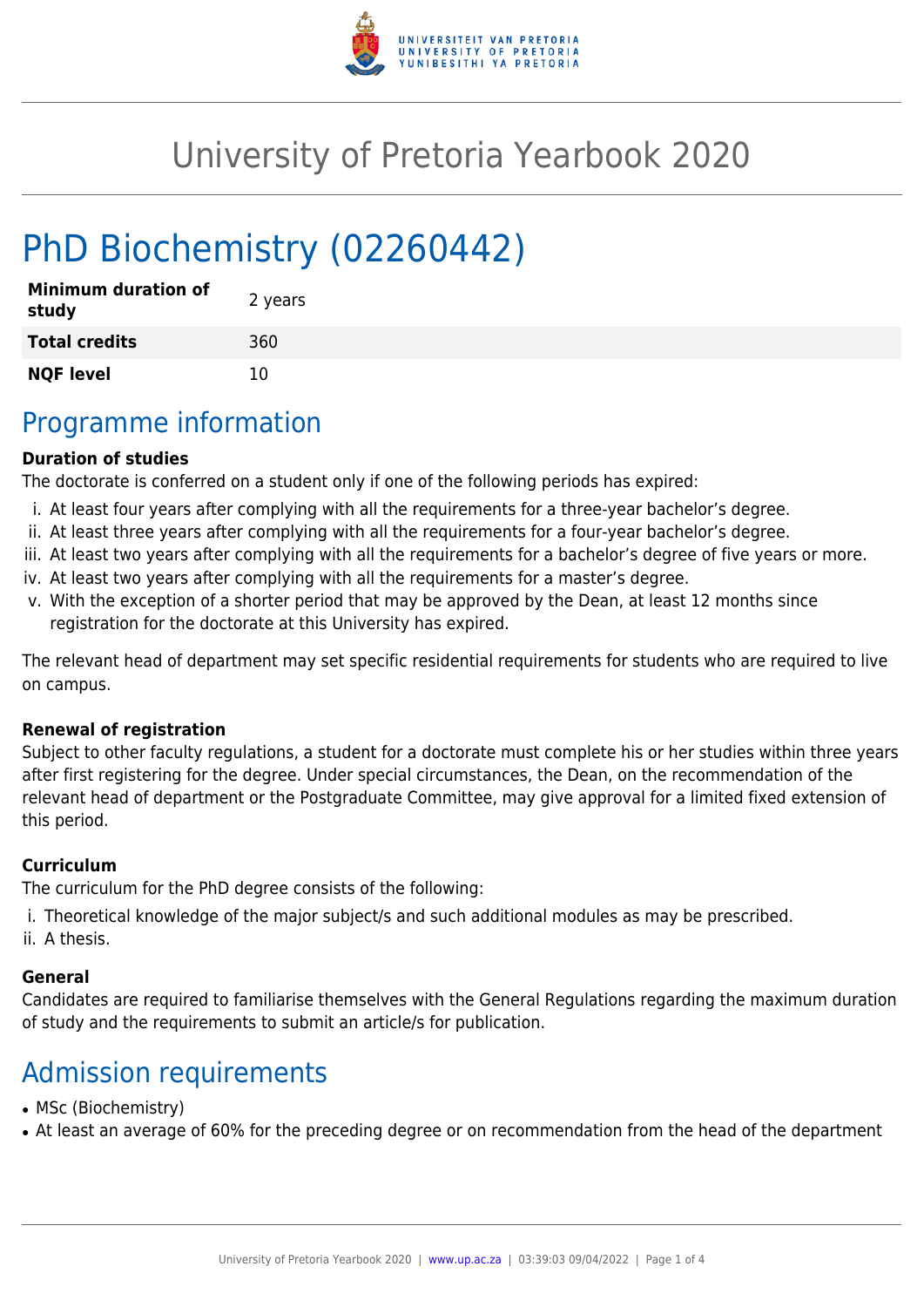

# University of Pretoria Yearbook 2020

# PhD Biochemistry (02260442)

| <b>Minimum duration of</b><br>study | 2 years |
|-------------------------------------|---------|
| <b>Total credits</b>                | 360     |
| <b>NQF level</b>                    | 10      |

### Programme information

#### **Duration of studies**

The doctorate is conferred on a student only if one of the following periods has expired:

- i. At least four years after complying with all the requirements for a three-year bachelor's degree.
- ii. At least three years after complying with all the requirements for a four-year bachelor's degree.
- iii. At least two years after complying with all the requirements for a bachelor's degree of five years or more.
- iv. At least two years after complying with all the requirements for a master's degree.
- v. With the exception of a shorter period that may be approved by the Dean, at least 12 months since registration for the doctorate at this University has expired.

The relevant head of department may set specific residential requirements for students who are required to live on campus.

#### **Renewal of registration**

Subject to other faculty regulations, a student for a doctorate must complete his or her studies within three years after first registering for the degree. Under special circumstances, the Dean, on the recommendation of the relevant head of department or the Postgraduate Committee, may give approval for a limited fixed extension of this period.

#### **Curriculum**

The curriculum for the PhD degree consists of the following:

- i. Theoretical knowledge of the major subject/s and such additional modules as may be prescribed.
- ii. A thesis.

#### **General**

Candidates are required to familiarise themselves with the General Regulations regarding the maximum duration of study and the requirements to submit an article/s for publication.

## Admission requirements

- MSc (Biochemistry)
- At least an average of 60% for the preceding degree or on recommendation from the head of the department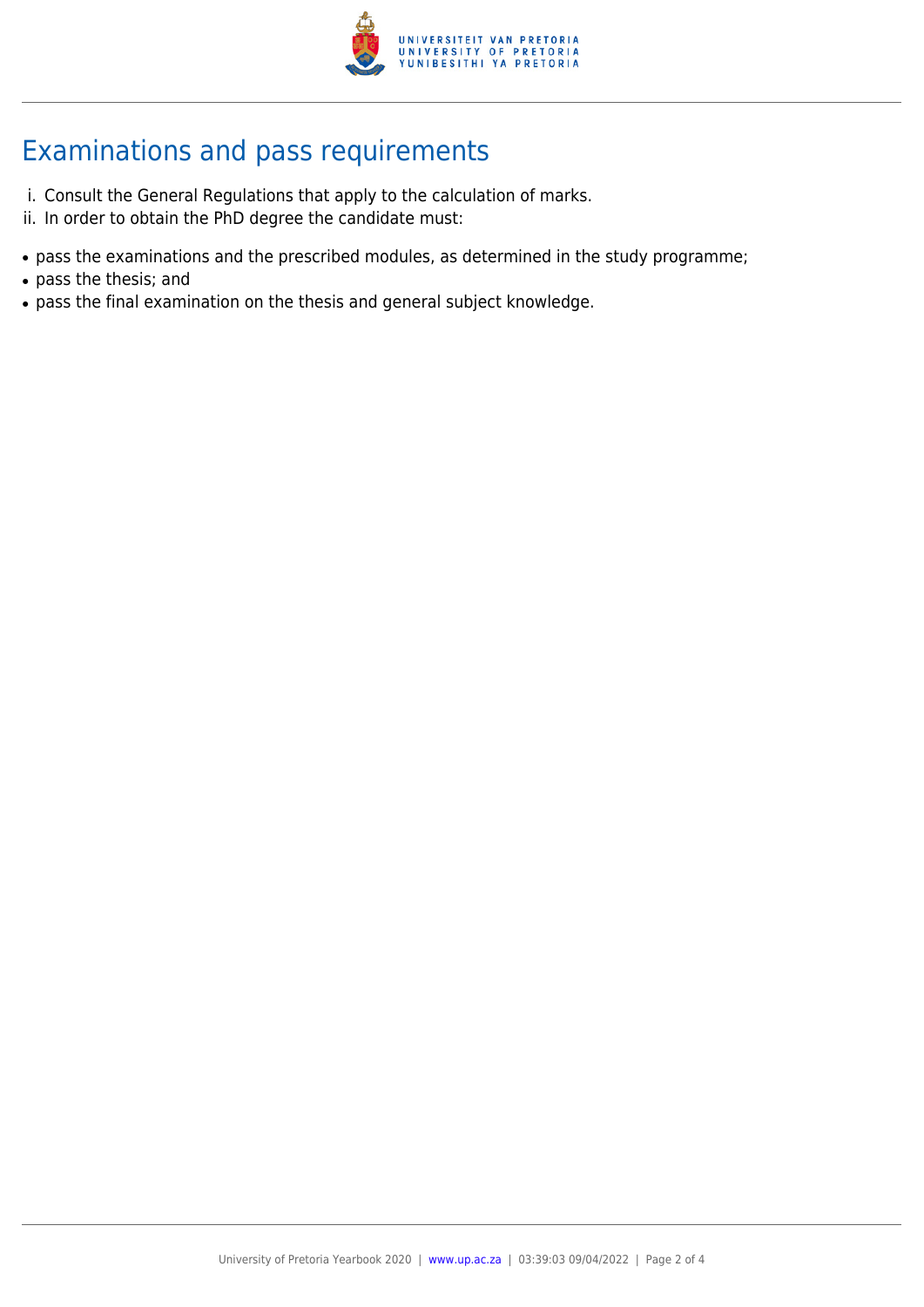

## Examinations and pass requirements

- i. Consult the General Regulations that apply to the calculation of marks.
- ii. In order to obtain the PhD degree the candidate must:
- pass the examinations and the prescribed modules, as determined in the study programme;
- pass the thesis; and
- pass the final examination on the thesis and general subject knowledge.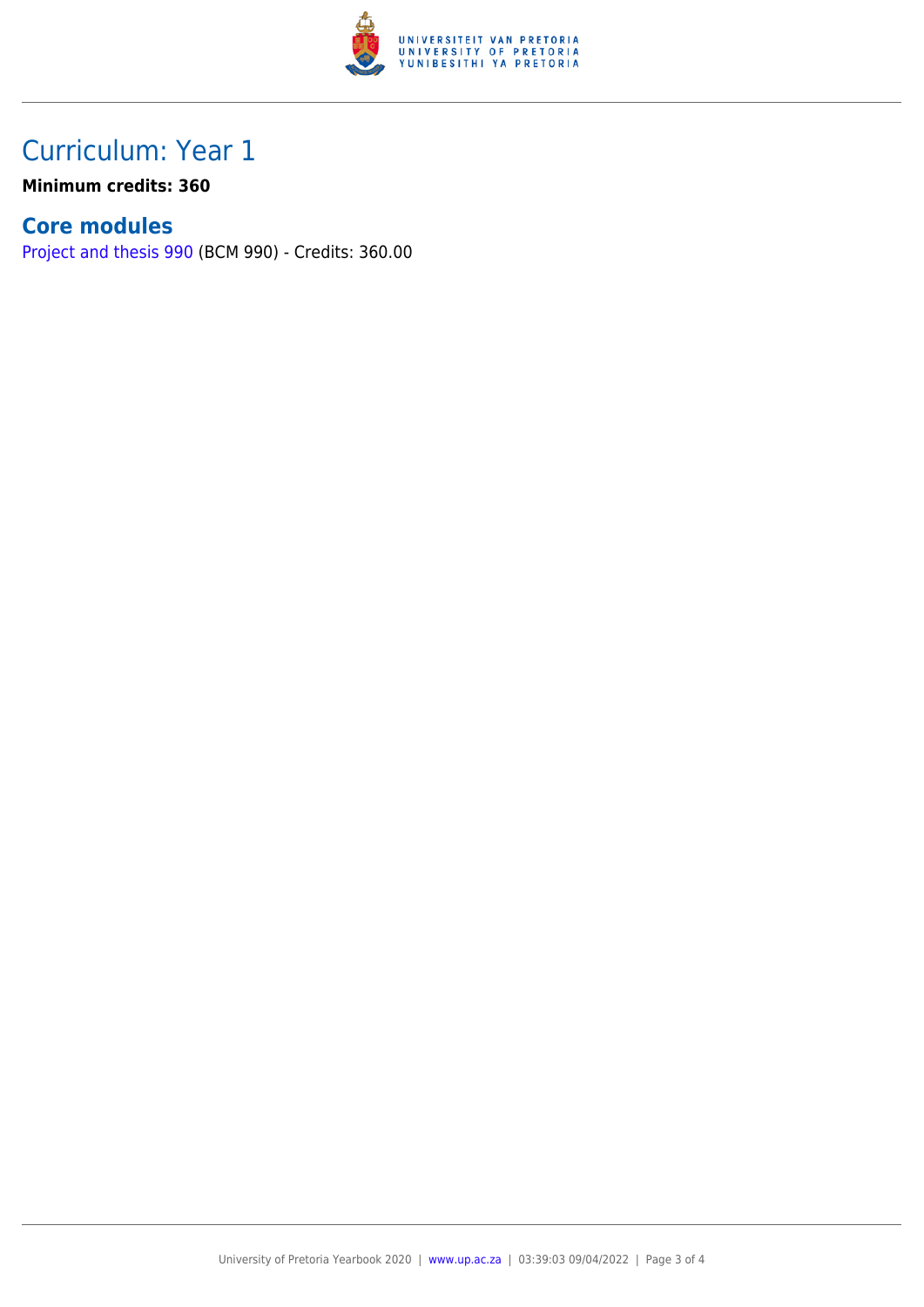

### Curriculum: Year 1

**Minimum credits: 360**

### **Core modules**

[Project and thesis 990](https://www.up.ac.za/faculty-of-education/yearbooks/2020/modules/view/BCM 990) (BCM 990) - Credits: 360.00